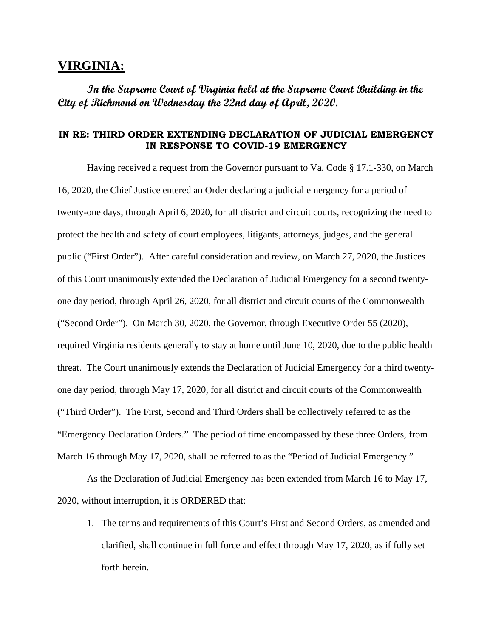## **VIRGINIA:**

**In the Supreme Court of Virginia held at the Supreme Court Building in the City of Richmond on Wednesday the 22nd day of April, 2020.**

## **IN RE: THIRD ORDER EXTENDING DECLARATION OF JUDICIAL EMERGENCY IN RESPONSE TO COVID-19 EMERGENCY**

Having received a request from the Governor pursuant to Va. Code § 17.1-330, on March 16, 2020, the Chief Justice entered an Order declaring a judicial emergency for a period of twenty-one days, through April 6, 2020, for all district and circuit courts, recognizing the need to protect the health and safety of court employees, litigants, attorneys, judges, and the general public ("First Order"). After careful consideration and review, on March 27, 2020, the Justices of this Court unanimously extended the Declaration of Judicial Emergency for a second twentyone day period, through April 26, 2020, for all district and circuit courts of the Commonwealth ("Second Order"). On March 30, 2020, the Governor, through Executive Order 55 (2020), required Virginia residents generally to stay at home until June 10, 2020, due to the public health threat. The Court unanimously extends the Declaration of Judicial Emergency for a third twentyone day period, through May 17, 2020, for all district and circuit courts of the Commonwealth ("Third Order"). The First, Second and Third Orders shall be collectively referred to as the "Emergency Declaration Orders." The period of time encompassed by these three Orders, from March 16 through May 17, 2020, shall be referred to as the "Period of Judicial Emergency."

As the Declaration of Judicial Emergency has been extended from March 16 to May 17, 2020, without interruption, it is ORDERED that:

1. The terms and requirements of this Court's First and Second Orders, as amended and clarified, shall continue in full force and effect through May 17, 2020, as if fully set forth herein.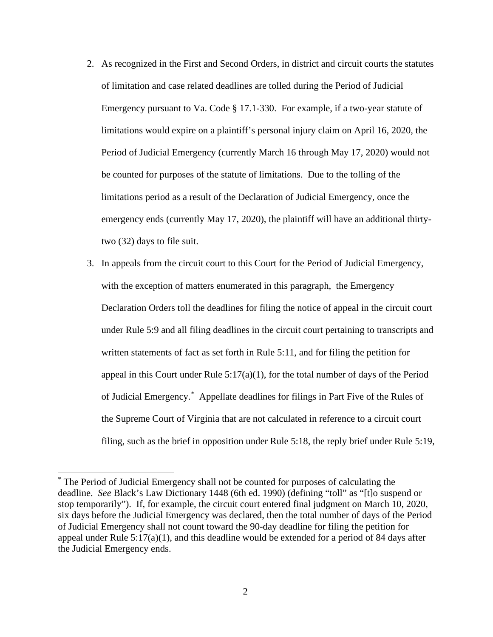- 2. As recognized in the First and Second Orders, in district and circuit courts the statutes of limitation and case related deadlines are tolled during the Period of Judicial Emergency pursuant to Va. Code § 17.1-330. For example, if a two-year statute of limitations would expire on a plaintiff's personal injury claim on April 16, 2020, the Period of Judicial Emergency (currently March 16 through May 17, 2020) would not be counted for purposes of the statute of limitations. Due to the tolling of the limitations period as a result of the Declaration of Judicial Emergency, once the emergency ends (currently May 17, 2020), the plaintiff will have an additional thirtytwo (32) days to file suit.
- 3. In appeals from the circuit court to this Court for the Period of Judicial Emergency, with the exception of matters enumerated in this paragraph, the Emergency Declaration Orders toll the deadlines for filing the notice of appeal in the circuit court under Rule 5:9 and all filing deadlines in the circuit court pertaining to transcripts and written statements of fact as set forth in Rule 5:11, and for filing the petition for appeal in this Court under Rule 5:17(a)(1), for the total number of days of the Period of Judicial Emergency.[\\*](#page-1-0) Appellate deadlines for filings in Part Five of the Rules of the Supreme Court of Virginia that are not calculated in reference to a circuit court filing, such as the brief in opposition under Rule 5:18, the reply brief under Rule 5:19,

<span id="page-1-0"></span><sup>\*</sup> The Period of Judicial Emergency shall not be counted for purposes of calculating the deadline. *See* Black's Law Dictionary 1448 (6th ed. 1990) (defining "toll" as "[t]o suspend or stop temporarily"). If, for example, the circuit court entered final judgment on March 10, 2020, six days before the Judicial Emergency was declared, then the total number of days of the Period of Judicial Emergency shall not count toward the 90-day deadline for filing the petition for appeal under Rule  $5:17(a)(1)$ , and this deadline would be extended for a period of 84 days after the Judicial Emergency ends.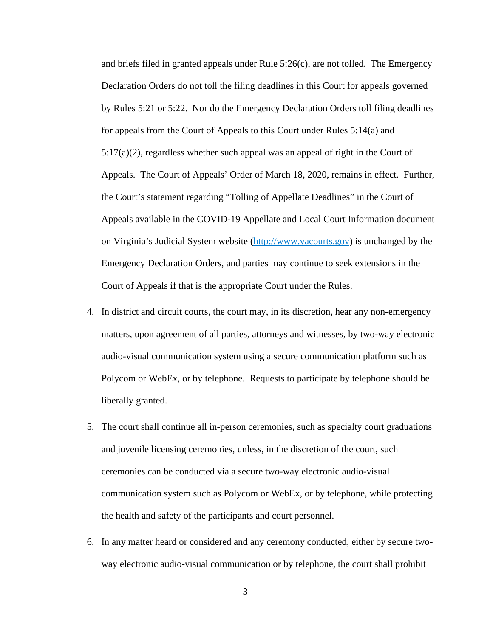and briefs filed in granted appeals under Rule 5:26(c), are not tolled. The Emergency Declaration Orders do not toll the filing deadlines in this Court for appeals governed by Rules 5:21 or 5:22. Nor do the Emergency Declaration Orders toll filing deadlines for appeals from the Court of Appeals to this Court under Rules 5:14(a) and  $5:17(a)(2)$ , regardless whether such appeal was an appeal of right in the Court of Appeals. The Court of Appeals' Order of March 18, 2020, remains in effect. Further, the Court's statement regarding "Tolling of Appellate Deadlines" in the Court of Appeals available in the COVID-19 Appellate and Local Court Information document on Virginia's Judicial System website [\(http://www.vacourts.gov\)](http://www.vacourts.gov/) is unchanged by the Emergency Declaration Orders, and parties may continue to seek extensions in the Court of Appeals if that is the appropriate Court under the Rules.

- 4. In district and circuit courts, the court may, in its discretion, hear any non-emergency matters, upon agreement of all parties, attorneys and witnesses, by two-way electronic audio-visual communication system using a secure communication platform such as Polycom or WebEx, or by telephone. Requests to participate by telephone should be liberally granted.
- 5. The court shall continue all in-person ceremonies, such as specialty court graduations and juvenile licensing ceremonies, unless, in the discretion of the court, such ceremonies can be conducted via a secure two-way electronic audio-visual communication system such as Polycom or WebEx, or by telephone, while protecting the health and safety of the participants and court personnel.
- 6. In any matter heard or considered and any ceremony conducted, either by secure twoway electronic audio-visual communication or by telephone, the court shall prohibit
	- 3